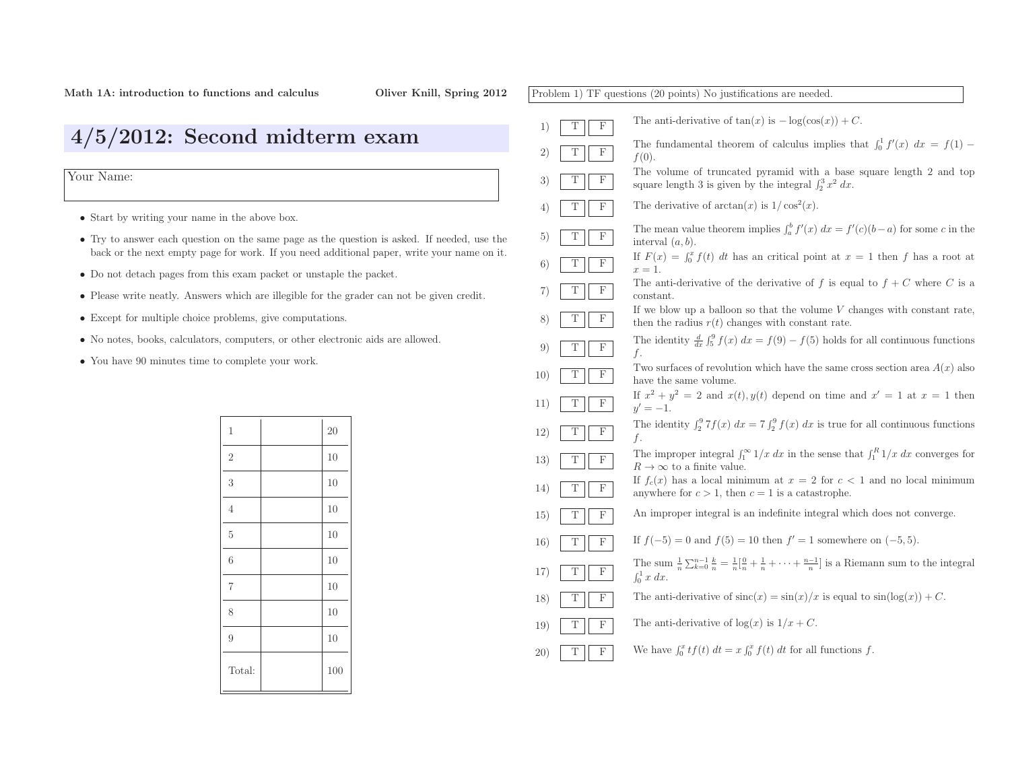| Problem 1) TF questions (20 points) No justifications are needed. |                                                                                                                                                                           |  |
|-------------------------------------------------------------------|---------------------------------------------------------------------------------------------------------------------------------------------------------------------------|--|
| Т<br>F<br>1)                                                      | The anti-derivative of $tan(x)$ is $-\log(cos(x)) + C$ .                                                                                                                  |  |
| F<br>Τ<br>2)                                                      | The fundamental theorem of calculus implies that $\int_0^1 f'(x) dx = f(1)$<br>$f(0)$ .                                                                                   |  |
| Т<br>$\mathbf F$<br>3)                                            | The volume of truncated pyramid with a base square length 2 and top<br>square length 3 is given by the integral $\int_2^3 x^2 dx$ .                                       |  |
| Τ<br>F<br>4)                                                      | The derivative of $arctan(x)$ is $1/\cos^2(x)$ .                                                                                                                          |  |
| F<br>Т<br>5)                                                      | The mean value theorem implies $\int_a^b f'(x) dx = f'(c)(b-a)$ for some c in the<br>interval $(a, b)$ .                                                                  |  |
| F<br>Т<br>6)                                                      | If $F(x) = \int_0^x f(t) dt$ has an critical point at $x = 1$ then f has a root at<br>$x=1$ .                                                                             |  |
| Τ<br>F<br>7)                                                      | The anti-derivative of the derivative of f is equal to $f + C$ where C is a<br>constant.                                                                                  |  |
| Τ<br>F<br>8)                                                      | If we blow up a balloon so that the volume $V$ changes with constant rate,<br>then the radius $r(t)$ changes with constant rate.                                          |  |
| Т<br>F<br>9)                                                      | The identity $\frac{d}{dx} \int_5^9 f(x) dx = f(9) - f(5)$ holds for all continuous functions<br>f.                                                                       |  |
| F<br>Τ<br>10)                                                     | Two surfaces of revolution which have the same cross section area $A(x)$ also<br>have the same volume.                                                                    |  |
| Τ<br>F<br>11)                                                     | If $x^2 + y^2 = 2$ and $x(t)$ , $y(t)$ depend on time and $x' = 1$ at $x = 1$ then<br>$y' = -1.$                                                                          |  |
| F<br>Т<br>12)                                                     | The identity $\int_2^9 7f(x) dx = 7 \int_2^9 f(x) dx$ is true for all continuous functions<br>f.                                                                          |  |
| Τ<br>F<br>13)                                                     | The improper integral $\int_1^{\infty} 1/x \, dx$ in the sense that $\int_1^R 1/x \, dx$ converges for<br>$R\to\infty$ to a finite value.                                 |  |
| F<br>Τ<br>14)                                                     | If $f_c(x)$ has a local minimum at $x = 2$ for $c < 1$ and no local minimum<br>anywhere for $c > 1$ , then $c = 1$ is a catastrophe.                                      |  |
| F<br>Т<br>15)                                                     | An improper integral is an indefinite integral which does not converge.                                                                                                   |  |
| Τ<br>F<br>16)                                                     | If $f(-5) = 0$ and $f(5) = 10$ then $f' = 1$ somewhere on $(-5, 5)$ .                                                                                                     |  |
| Τ<br>F<br>17)                                                     | The sum $\frac{1}{n}\sum_{k=0}^{n-1}\frac{k}{n} = \frac{1}{n}[\frac{0}{n} + \frac{1}{n} + \cdots + \frac{n-1}{n}]$ is a Riemann sum to the integral<br>$\int_0^1 x\ dx$ . |  |
| Т<br>F<br>18)                                                     | The anti-derivative of $\operatorname{sinc}(x) = \sin(x)/x$ is equal to $\sin(\log(x)) + C$ .                                                                             |  |
| F<br>Т<br>19)                                                     | The anti-derivative of $log(x)$ is $1/x + C$ .                                                                                                                            |  |
| F<br>Τ<br>20)                                                     | We have $\int_0^x tf(t) dt = x \int_0^x f(t) dt$ for all functions f.                                                                                                     |  |

# 4/5/2012: Second midterm exam

Your Name:

- Start by writing your name in the above box.
- Try to answer each question on the same page as the question is asked. If needed, use the back or the next empty page for work. If you need additional paper, write your name on it.
- Do not detach pages from this exam packet or unstaple the packet.
- Please write neatly. Answers which are illegible for the grader can not be <sup>g</sup>iven credit.
- Except for multiple choice problems, <sup>g</sup>ive computations.
- No notes, books, calculators, computers, or other electronic aids are allowed.
- You have <sup>90</sup> minutes time to complete your work.

| $\mathbf 1$    | 20  |
|----------------|-----|
| $\overline{2}$ | 10  |
| 3              | 10  |
| $\overline{4}$ | 10  |
| $\overline{5}$ | 10  |
| 6              | 10  |
| $\overline{7}$ | 10  |
| 8              | 10  |
| $\overline{9}$ | 10  |
| Total:         | 100 |
|                |     |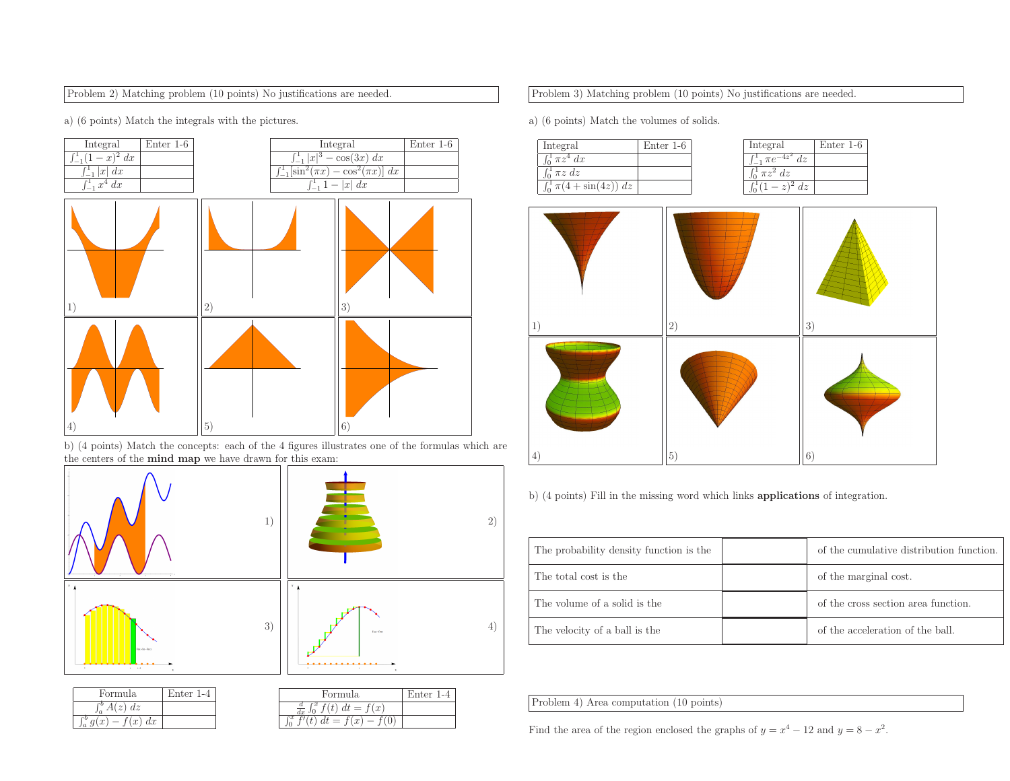## Problem 2) Matching problem (10 points) No justifications are needed.

a) (6 points) Match the integrals with the <sup>p</sup>ictures.



b) (4 points) Match the concepts: each of the <sup>4</sup> figures illustrates one of the formulas which are the centers of the **mind map** we have drawn for this exam:



| Formula                       | Enter 1-4 |
|-------------------------------|-----------|
| $\int_a^b A(z) dz$            |           |
| $\int_{a}^{b} q(x) - f(x) dx$ |           |
|                               |           |

| Formula           | Enter 1-4 |
|-------------------|-----------|
| `x<br>$dt = f(x)$ |           |
| t) $dt = f(x)$    |           |

Problem 3) Matching problem (10 points) No justifications are needed.

a) (6 points) Match the volumes of solids.

| Integral              | Enter $1-6$ |
|-----------------------|-------------|
| $\int_0^1 \pi z^4 dx$ |             |
| $\pi z dz$            |             |
| $\pi(4+\sin(4z)) dz$  |             |

| Integral          | Enter $1-6$ |
|-------------------|-------------|
| $\pi e$<br>$\sim$ |             |
| $\pi z^2 dz$      |             |
|                   |             |



b) (4 points) Fill in the missing word which links applications of integration.

| The probability density function is the | of the cumulative distribution function. |
|-----------------------------------------|------------------------------------------|
| The total cost is the                   | of the marginal cost.                    |
| The volume of a solid is the            | of the cross section area function.      |
| The velocity of a ball is the           | of the acceleration of the ball.         |

Problem 4) Area computation (10 points)

Find the area of the region enclosed the graphs of  $y = x^4 - 12$  and  $y = 8 - x^2$ .